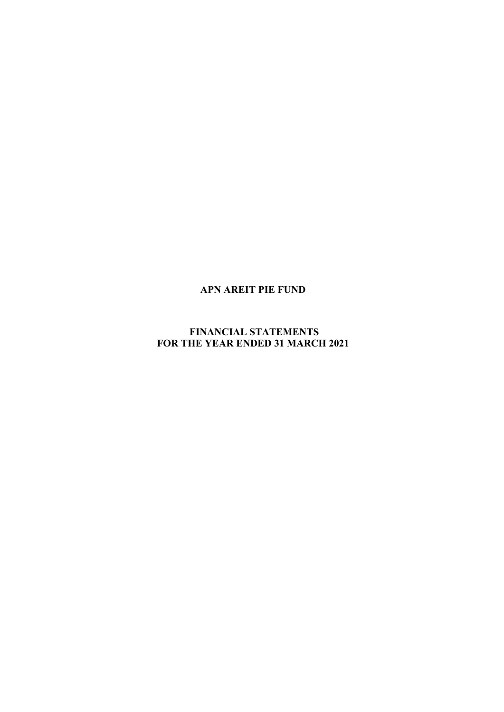# **FINANCIAL STATEMENTS FOR THE YEAR ENDED 31 MARCH 2021**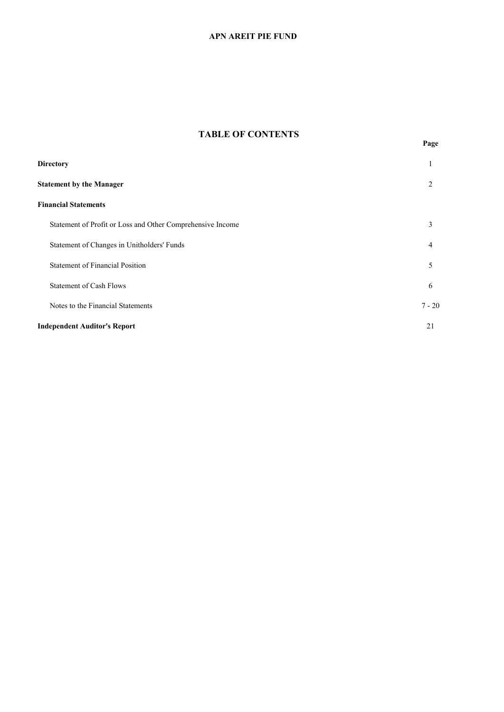# **TABLE OF CONTENTS**

| <b>Directory</b>                                           | 1              |
|------------------------------------------------------------|----------------|
| <b>Statement by the Manager</b>                            | 2              |
| <b>Financial Statements</b>                                |                |
| Statement of Profit or Loss and Other Comprehensive Income | 3              |
| Statement of Changes in Unitholders' Funds                 | $\overline{4}$ |
| <b>Statement of Financial Position</b>                     | 5              |
| <b>Statement of Cash Flows</b>                             | 6              |
| Notes to the Financial Statements                          | $7 - 20$       |
| <b>Independent Auditor's Report</b>                        | 21             |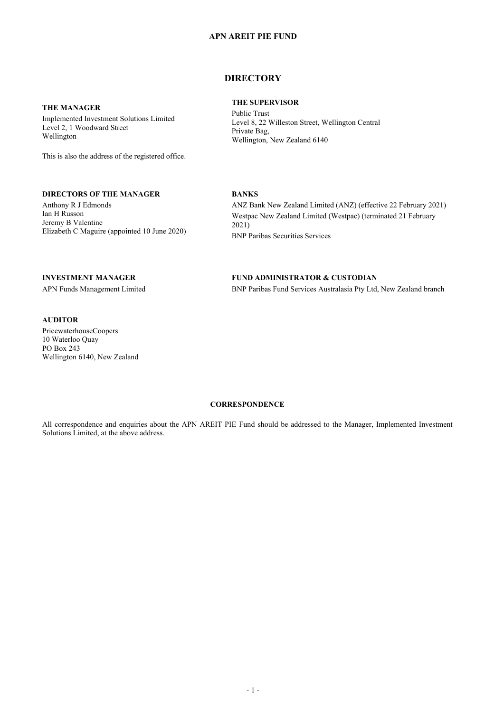# **DIRECTORY**

**THE SUPERVISOR**

# **THE MANAGER**

Implemented Investment Solutions Limited Level 2, 1 Woodward Street Wellington

This is also the address of the registered office.

### **DIRECTORS OF THE MANAGER**

Anthony R J Edmonds Ian H Russon Jeremy B Valentine Elizabeth C Maguire (appointed 10 June 2020) Public Trust Level 8, 22 Willeston Street, Wellington Central Private Bag, Wellington, New Zealand 6140

#### **BANKS**

ANZ Bank New Zealand Limited (ANZ) (effective 22 February 2021) Westpac New Zealand Limited (Westpac) (terminated 21 February 2021) BNP Paribas Securities Services

#### **INVESTMENT MANAGER**

APN Funds Management Limited

# **AUDITOR**

PricewaterhouseCoopers 10 Waterloo Quay PO Box 243 Wellington 6140, New Zealand

#### **FUND ADMINISTRATOR & CUSTODIAN**

BNP Paribas Fund Services Australasia Pty Ltd, New Zealand branch

# **CORRESPONDENCE**

All correspondence and enquiries about the APN AREIT PIE Fund should be addressed to the Manager, Implemented Investment Solutions Limited, at the above address.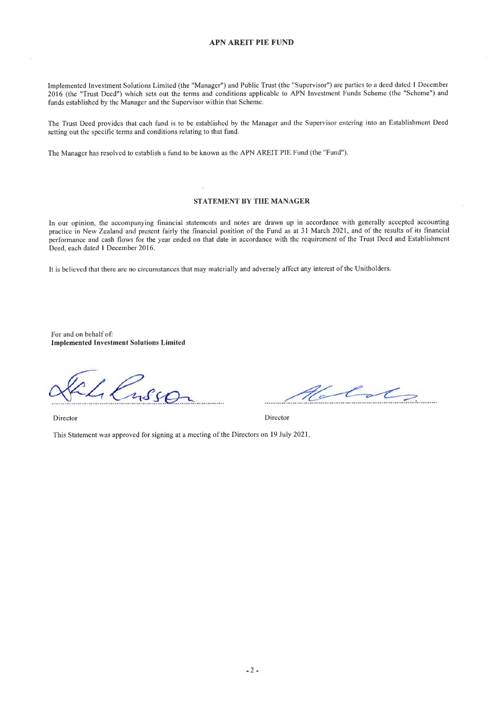Implemented Investment Solutions Limited (the "Manager") and Public Trust (the "Supervisor") are pafties to a deed dated I December 2016 (the "Trust Deed") which sets out the terms and conditions applicable to APN Investment Funds Scheme (the "Scheme") and funds established by the Manager and the Supervisor within that Scheme.

The Trust Deed provides that each fund is to be established by the Manager and the Supervisor eutering into an Establishment Deed setting out the specific terms and conditions relating to that fund.

The Manager has resolved to establish a fund to be known as the APN AREIT PIE Fund (the "Fund").

#### STATEMENT BY THE MANAGER

In our opinion, the accompanying financial statements and notes are drawn up in accordance with generally accepted accounting practice in New Zealand and present fairly the financial position of the Fund as at 31 March 2021, and of the results of its financial performance and cash flows for the year ended on that date in accordance with the requirement of the Trust Deed and Establishment Deed, each dated I Decernber 2016.

It is believed that there are no circumstances that may materially and adversely affect any interest ofthe Unitholders.

For and on behalf of: Implemented Investment Solutions Limited

 $260$ 

Director Director

 $\mathscr{L}_{\alpha}\mathscr{L}$ 

This Statement was approved for signing at a meeting of the Directors on l9 July 2021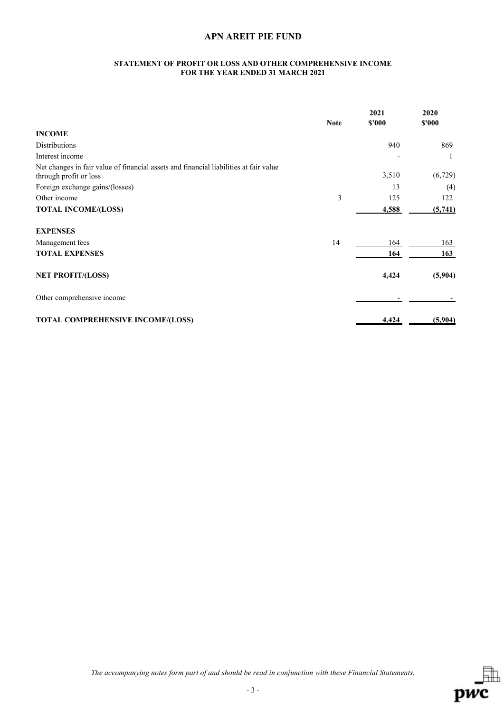#### **STATEMENT OF PROFIT OR LOSS AND OTHER COMPREHENSIVE INCOME FOR THE YEAR ENDED 31 MARCH 2021**

|                                                                                                                 | <b>Note</b> | 2021<br>\$'000 | 2020<br>\$'000 |
|-----------------------------------------------------------------------------------------------------------------|-------------|----------------|----------------|
| <b>INCOME</b>                                                                                                   |             |                |                |
| <b>Distributions</b>                                                                                            |             | 940            | 869            |
| Interest income                                                                                                 |             |                | 1              |
| Net changes in fair value of financial assets and financial liabilities at fair value<br>through profit or loss |             | 3,510          | (6, 729)       |
| Foreign exchange gains/(losses)                                                                                 |             | 13             | (4)            |
| Other income                                                                                                    | 3           | 125            | 122            |
| <b>TOTAL INCOME/(LOSS)</b>                                                                                      |             | 4,588          | (5,741)        |
| <b>EXPENSES</b>                                                                                                 |             |                |                |
| Management fees                                                                                                 | 14          | 164            | 163            |
| <b>TOTAL EXPENSES</b>                                                                                           |             | 164            | 163            |
| <b>NET PROFIT/(LOSS)</b>                                                                                        |             | 4,424          | (5,904)        |
| Other comprehensive income                                                                                      |             |                |                |
| <b>TOTAL COMPREHENSIVE INCOME/(LOSS)</b>                                                                        |             | 4,424          | (5,904)        |

*The accompanying notes form part of and should be read in conjunction with these Financial Statements.*

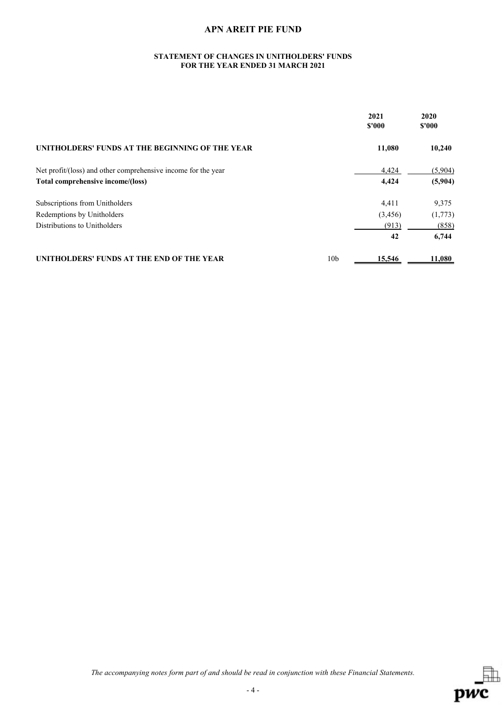### **STATEMENT OF CHANGES IN UNITHOLDERS' FUNDS FOR THE YEAR ENDED 31 MARCH 2021**

|                                                               |                 | 2021<br>\$'000 | 2020<br>\$'000 |
|---------------------------------------------------------------|-----------------|----------------|----------------|
| UNITHOLDERS' FUNDS AT THE BEGINNING OF THE YEAR               |                 | 11,080         | 10,240         |
| Net profit/(loss) and other comprehensive income for the year |                 | 4,424          | (5,904)        |
| Total comprehensive income/(loss)                             |                 | 4,424          | (5,904)        |
| Subscriptions from Unitholders                                |                 | 4,411          | 9,375          |
| Redemptions by Unitholders                                    |                 | (3,456)        | (1,773)        |
| Distributions to Unitholders                                  |                 | (913)          | (858)          |
|                                                               |                 | 42             | 6,744          |
| UNITHOLDERS' FUNDS AT THE END OF THE YEAR                     | 10 <sub>b</sub> | 15,546         | 11,080         |

*The accompanying notes form part of and should be read in conjunction with these Financial Statements.*

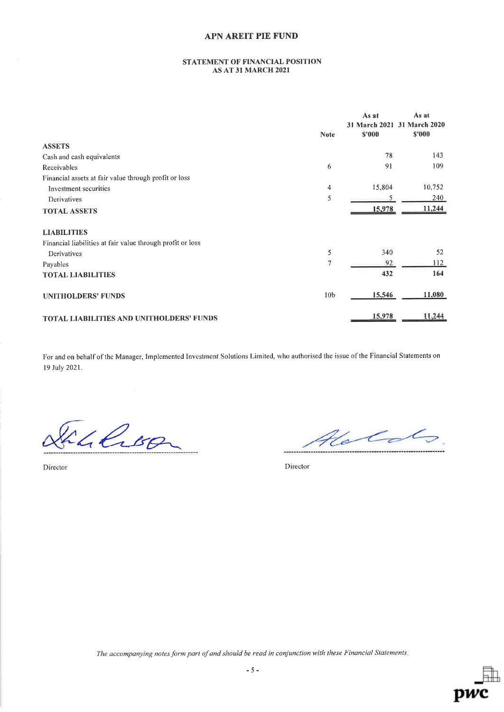### STATEMENT OF FINANCIAL POSITION AS AT 3I MARCH 2O2I

|                                                            |                 | As at<br>31 March 2021 | As at<br>31 March 2020 |
|------------------------------------------------------------|-----------------|------------------------|------------------------|
|                                                            | <b>Note</b>     | \$'000                 | \$'000                 |
| <b>ASSETS</b>                                              |                 |                        |                        |
| Cash and cash equivalents                                  |                 | 78                     | 143                    |
| Receivables                                                | 6               | 91                     | 109                    |
| Financial assets at fair value through profit or loss      |                 |                        |                        |
| Investment securities                                      | 4               | 15,804                 | 10,752                 |
| Derivatives                                                | 5               | 5                      | 240                    |
| <b>TOTAL ASSETS</b>                                        |                 | 15,978                 | 11,244                 |
| <b>LIABILITIES</b>                                         |                 |                        |                        |
| Financial liabilities at fair value through profit or loss |                 |                        |                        |
| Derivatives                                                | 5               | 340                    | 52                     |
| Payables                                                   | 7               | 92                     | 112                    |
| <b>TOTAL LIABILITIES</b>                                   |                 | 432                    | 164                    |
| <b>UNITHOLDERS' FUNDS</b>                                  | 10 <sub>b</sub> | 15,546                 | 11,080                 |
| <b>TOTAL LIABILITIES AND UNITHOLDERS' FUNDS</b>            |                 | 15,978                 | 11,244                 |

For and on behalf of the Manager, Implemented Investment Solutions Limited, who authorised the issue of the Financial Statements on 19 Iuly 2021.

El Croon

Holds

Director Director

The accompanying notes form part of and should be read in conjunction with these Financial Statements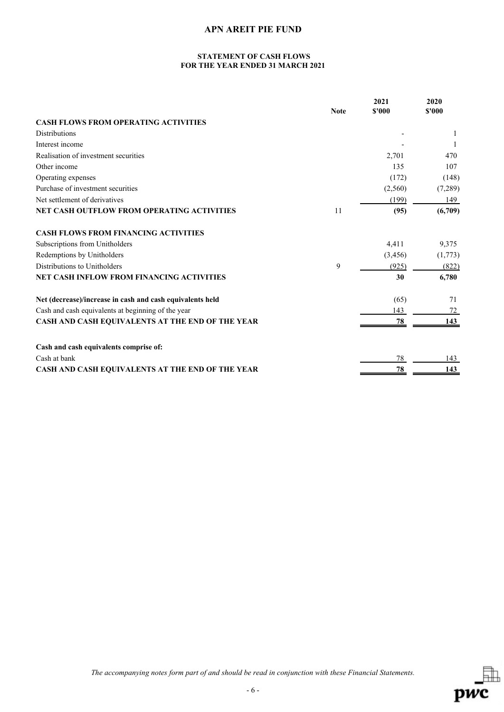### **STATEMENT OF CASH FLOWS FOR THE YEAR ENDED 31 MARCH 2021**

|                                                           |             | 2021    | 2020    |
|-----------------------------------------------------------|-------------|---------|---------|
|                                                           | <b>Note</b> | \$'000  | \$'000  |
| <b>CASH FLOWS FROM OPERATING ACTIVITIES</b>               |             |         |         |
| <b>Distributions</b>                                      |             |         |         |
| Interest income                                           |             |         |         |
| Realisation of investment securities                      |             | 2,701   | 470     |
| Other income                                              |             | 135     | 107     |
| Operating expenses                                        |             | (172)   | (148)   |
| Purchase of investment securities                         |             | (2,560) | (7,289) |
| Net settlement of derivatives                             |             | (199)   | 149     |
| NET CASH OUTFLOW FROM OPERATING ACTIVITIES                | 11          | (95)    | (6,709) |
| <b>CASH FLOWS FROM FINANCING ACTIVITIES</b>               |             |         |         |
| Subscriptions from Unitholders                            |             | 4,411   | 9,375   |
| Redemptions by Unitholders                                |             | (3,456) | (1,773) |
| Distributions to Unitholders                              | 9           | (925)   | (822)   |
| <b>NET CASH INFLOW FROM FINANCING ACTIVITIES</b>          |             | 30      | 6,780   |
| Net (decrease)/increase in cash and cash equivalents held |             | (65)    | 71      |
| Cash and cash equivalents at beginning of the year        |             | 143     | 72      |
| CASH AND CASH EQUIVALENTS AT THE END OF THE YEAR          |             | 78      | 143     |
| Cash and cash equivalents comprise of:                    |             |         |         |
| Cash at bank                                              |             | 78      | 143     |
| CASH AND CASH EQUIVALENTS AT THE END OF THE YEAR          |             | 78      | 143     |

*The accompanying notes form part of and should be read in conjunction with these Financial Statements.*

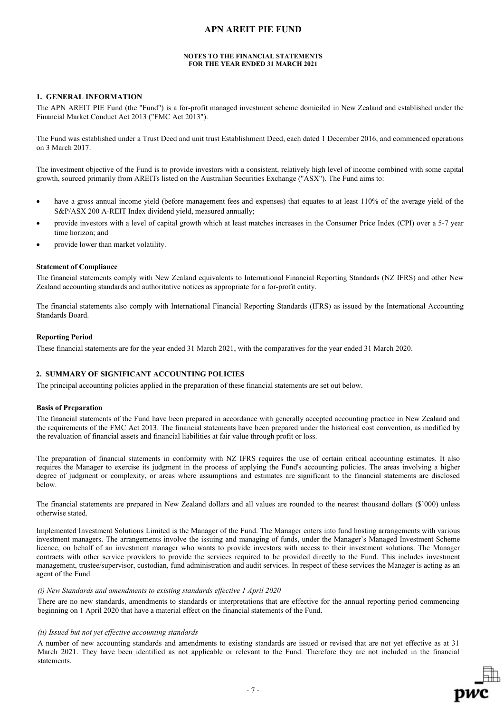#### **NOTES TO THE FINANCIAL STATEMENTS FOR THE YEAR ENDED 31 MARCH 2021**

### **1. GENERAL INFORMATION**

The APN AREIT PIE Fund (the "Fund") is a for-profit managed investment scheme domiciled in New Zealand and established under the Financial Market Conduct Act 2013 ("FMC Act 2013").

The Fund was established under a Trust Deed and unit trust Establishment Deed, each dated 1 December 2016, and commenced operations on 3 March 2017.

The investment objective of the Fund is to provide investors with a consistent, relatively high level of income combined with some capital growth, sourced primarily from AREITs listed on the Australian Securities Exchange ("ASX"). The Fund aims to:

- have a gross annual income yield (before management fees and expenses) that equates to at least 110% of the average yield of the S&P/ASX 200 A-REIT Index dividend yield, measured annually;
- provide investors with a level of capital growth which at least matches increases in the Consumer Price Index (CPI) over a 5-7 year time horizon; and
- provide lower than market volatility.

#### **Statement of Compliance**

The financial statements comply with New Zealand equivalents to International Financial Reporting Standards (NZ IFRS) and other New Zealand accounting standards and authoritative notices as appropriate for a for-profit entity.

The financial statements also comply with International Financial Reporting Standards (IFRS) as issued by the International Accounting Standards Board.

#### **Reporting Period**

These financial statements are for the year ended 31 March 2021, with the comparatives for the year ended 31 March 2020.

# **2. SUMMARY OF SIGNIFICANT ACCOUNTING POLICIES**

The principal accounting policies applied in the preparation of these financial statements are set out below.

#### **Basis of Preparation**

The financial statements of the Fund have been prepared in accordance with generally accepted accounting practice in New Zealand and the requirements of the FMC Act 2013. The financial statements have been prepared under the historical cost convention, as modified by the revaluation of financial assets and financial liabilities at fair value through profit or loss.

The preparation of financial statements in conformity with NZ IFRS requires the use of certain critical accounting estimates. It also requires the Manager to exercise its judgment in the process of applying the Fund's accounting policies. The areas involving a higher degree of judgment or complexity, or areas where assumptions and estimates are significant to the financial statements are disclosed below.

The financial statements are prepared in New Zealand dollars and all values are rounded to the nearest thousand dollars (\$'000) unless otherwise stated.

Implemented Investment Solutions Limited is the Manager of the Fund. The Manager enters into fund hosting arrangements with various investment managers. The arrangements involve the issuing and managing of funds, under the Manager's Managed Investment Scheme licence, on behalf of an investment manager who wants to provide investors with access to their investment solutions. The Manager contracts with other service providers to provide the services required to be provided directly to the Fund. This includes investment management, trustee/supervisor, custodian, fund administration and audit services. In respect of these services the Manager is acting as an agent of the Fund.

#### *(i) New Standards and amendments to existing standards effective 1 April 2020*

There are no new standards, amendments to standards or interpretations that are effective for the annual reporting period commencing beginning on 1 April 2020 that have a material effect on the financial statements of the Fund.

#### *(ii) Issued but not yet effective accounting standards*

A number of new accounting standards and amendments to existing standards are issued or revised that are not yet effective as at 31 March 2021. They have been identified as not applicable or relevant to the Fund. Therefore they are not included in the financial statements.

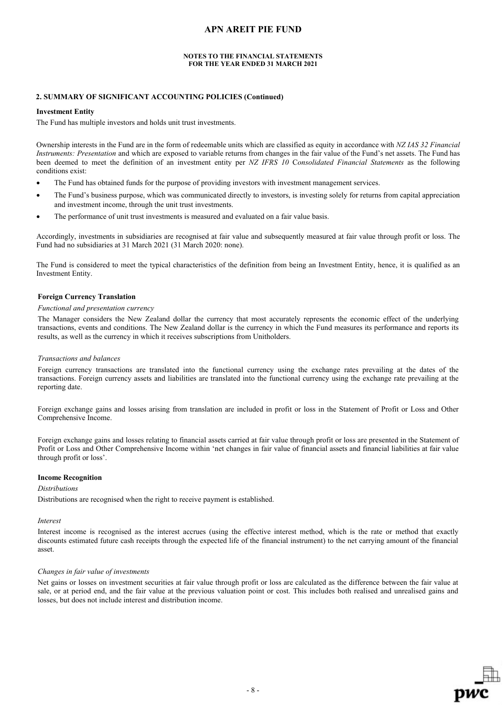#### **NOTES TO THE FINANCIAL STATEMENTS FOR THE YEAR ENDED 31 MARCH 2021**

#### **2. SUMMARY OF SIGNIFICANT ACCOUNTING POLICIES (Continued)**

#### **Investment Entity**

The Fund has multiple investors and holds unit trust investments.

Ownership interests in the Fund are in the form of redeemable units which are classified as equity in accordance with *NZ IAS 32 Financial Instruments: Presentation* and which are exposed to variable returns from changes in the fair value of the Fund's net assets. The Fund has been deemed to meet the definition of an investment entity per *NZ IFRS 10* C*onsolidated Financial Statements* as the following conditions exist:

- The Fund has obtained funds for the purpose of providing investors with investment management services.
- The Fund's business purpose, which was communicated directly to investors, is investing solely for returns from capital appreciation and investment income, through the unit trust investments.
- The performance of unit trust investments is measured and evaluated on a fair value basis.

Accordingly, investments in subsidiaries are recognised at fair value and subsequently measured at fair value through profit or loss. The Fund had no subsidiaries at 31 March 2021 (31 March 2020: none).

The Fund is considered to meet the typical characteristics of the definition from being an Investment Entity, hence, it is qualified as an Investment Entity.

### **Foreign Currency Translation**

#### *Functional and presentation currency*

The Manager considers the New Zealand dollar the currency that most accurately represents the economic effect of the underlying transactions, events and conditions. The New Zealand dollar is the currency in which the Fund measures its performance and reports its results, as well as the currency in which it receives subscriptions from Unitholders.

#### *Transactions and balances*

Foreign currency transactions are translated into the functional currency using the exchange rates prevailing at the dates of the transactions. Foreign currency assets and liabilities are translated into the functional currency using the exchange rate prevailing at the reporting date.

Foreign exchange gains and losses arising from translation are included in profit or loss in the Statement of Profit or Loss and Other Comprehensive Income.

Foreign exchange gains and losses relating to financial assets carried at fair value through profit or loss are presented in the Statement of Profit or Loss and Other Comprehensive Income within 'net changes in fair value of financial assets and financial liabilities at fair value through profit or loss'.

#### **Income Recognition**

#### *Distributions*

Distributions are recognised when the right to receive payment is established.

#### *Interest*

Interest income is recognised as the interest accrues (using the effective interest method, which is the rate or method that exactly discounts estimated future cash receipts through the expected life of the financial instrument) to the net carrying amount of the financial asset.

#### *Changes in fair value of investments*

Net gains or losses on investment securities at fair value through profit or loss are calculated as the difference between the fair value at sale, or at period end, and the fair value at the previous valuation point or cost. This includes both realised and unrealised gains and losses, but does not include interest and distribution income.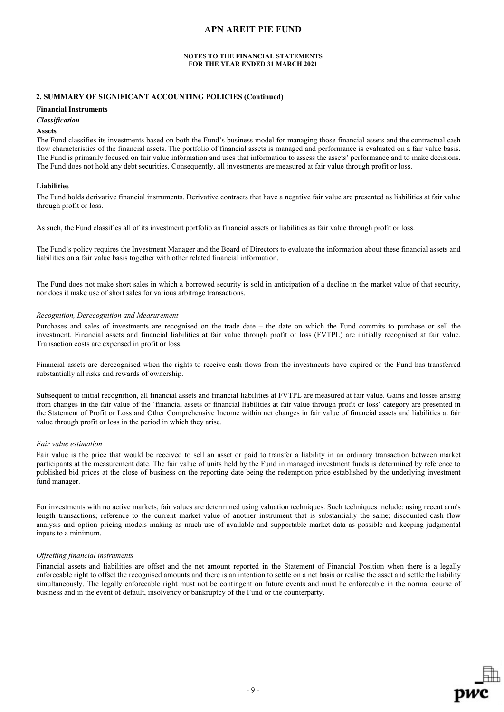#### **NOTES TO THE FINANCIAL STATEMENTS FOR THE YEAR ENDED 31 MARCH 2021**

### **2. SUMMARY OF SIGNIFICANT ACCOUNTING POLICIES (Continued)**

### **Financial Instruments**

#### *Classification*

#### **Assets**

The Fund classifies its investments based on both the Fund's business model for managing those financial assets and the contractual cash flow characteristics of the financial assets. The portfolio of financial assets is managed and performance is evaluated on a fair value basis. The Fund is primarily focused on fair value information and uses that information to assess the assets' performance and to make decisions. The Fund does not hold any debt securities. Consequently, all investments are measured at fair value through profit or loss.

#### **Liabilities**

The Fund holds derivative financial instruments. Derivative contracts that have a negative fair value are presented as liabilities at fair value through profit or loss.

As such, the Fund classifies all of its investment portfolio as financial assets or liabilities as fair value through profit or loss.

The Fund's policy requires the Investment Manager and the Board of Directors to evaluate the information about these financial assets and liabilities on a fair value basis together with other related financial information.

The Fund does not make short sales in which a borrowed security is sold in anticipation of a decline in the market value of that security, nor does it make use of short sales for various arbitrage transactions.

#### *Recognition, Derecognition and Measurement*

Purchases and sales of investments are recognised on the trade date – the date on which the Fund commits to purchase or sell the investment. Financial assets and financial liabilities at fair value through profit or loss (FVTPL) are initially recognised at fair value. Transaction costs are expensed in profit or loss.

Financial assets are derecognised when the rights to receive cash flows from the investments have expired or the Fund has transferred substantially all risks and rewards of ownership.

Subsequent to initial recognition, all financial assets and financial liabilities at FVTPL are measured at fair value. Gains and losses arising from changes in the fair value of the 'financial assets or financial liabilities at fair value through profit or loss' category are presented in the Statement of Profit or Loss and Other Comprehensive Income within net changes in fair value of financial assets and liabilities at fair value through profit or loss in the period in which they arise.

#### *Fair value estimation*

Fair value is the price that would be received to sell an asset or paid to transfer a liability in an ordinary transaction between market participants at the measurement date. The fair value of units held by the Fund in managed investment funds is determined by reference to published bid prices at the close of business on the reporting date being the redemption price established by the underlying investment fund manager.

For investments with no active markets, fair values are determined using valuation techniques. Such techniques include: using recent arm's length transactions; reference to the current market value of another instrument that is substantially the same; discounted cash flow analysis and option pricing models making as much use of available and supportable market data as possible and keeping judgmental inputs to a minimum.

#### *Offsetting financial instruments*

Financial assets and liabilities are offset and the net amount reported in the Statement of Financial Position when there is a legally enforceable right to offset the recognised amounts and there is an intention to settle on a net basis or realise the asset and settle the liability simultaneously. The legally enforceable right must not be contingent on future events and must be enforceable in the normal course of business and in the event of default, insolvency or bankruptcy of the Fund or the counterparty.

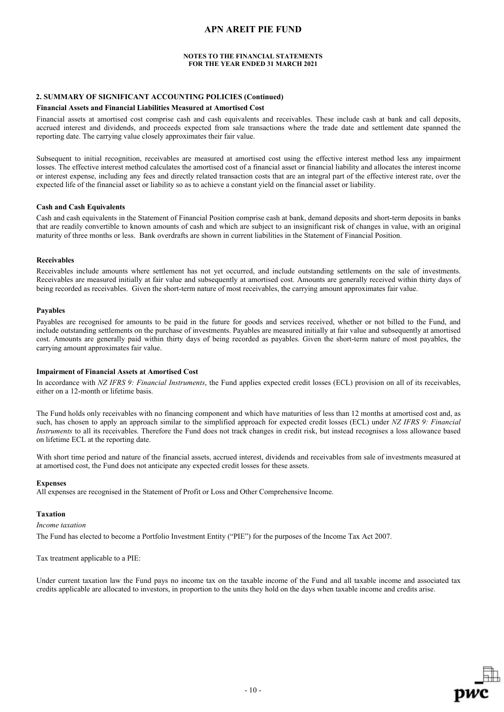#### **NOTES TO THE FINANCIAL STATEMENTS FOR THE YEAR ENDED 31 MARCH 2021**

### **2. SUMMARY OF SIGNIFICANT ACCOUNTING POLICIES (Continued)**

#### **Financial Assets and Financial Liabilities Measured at Amortised Cost**

Financial assets at amortised cost comprise cash and cash equivalents and receivables. These include cash at bank and call deposits, accrued interest and dividends, and proceeds expected from sale transactions where the trade date and settlement date spanned the reporting date. The carrying value closely approximates their fair value.

Subsequent to initial recognition, receivables are measured at amortised cost using the effective interest method less any impairment losses. The effective interest method calculates the amortised cost of a financial asset or financial liability and allocates the interest income or interest expense, including any fees and directly related transaction costs that are an integral part of the effective interest rate, over the expected life of the financial asset or liability so as to achieve a constant yield on the financial asset or liability.

#### **Cash and Cash Equivalents**

Cash and cash equivalents in the Statement of Financial Position comprise cash at bank, demand deposits and short-term deposits in banks that are readily convertible to known amounts of cash and which are subject to an insignificant risk of changes in value, with an original maturity of three months or less. Bank overdrafts are shown in current liabilities in the Statement of Financial Position.

#### **Receivables**

Receivables include amounts where settlement has not yet occurred, and include outstanding settlements on the sale of investments. Receivables are measured initially at fair value and subsequently at amortised cost. Amounts are generally received within thirty days of being recorded as receivables. Given the short-term nature of most receivables, the carrying amount approximates fair value.

### **Payables**

Payables are recognised for amounts to be paid in the future for goods and services received, whether or not billed to the Fund, and include outstanding settlements on the purchase of investments. Payables are measured initially at fair value and subsequently at amortised cost. Amounts are generally paid within thirty days of being recorded as payables. Given the short-term nature of most payables, the carrying amount approximates fair value.

#### **Impairment of Financial Assets at Amortised Cost**

In accordance with *NZ IFRS 9: Financial Instruments*, the Fund applies expected credit losses (ECL) provision on all of its receivables, either on a 12-month or lifetime basis.

The Fund holds only receivables with no financing component and which have maturities of less than 12 months at amortised cost and, as such, has chosen to apply an approach similar to the simplified approach for expected credit losses (ECL) under *NZ IFRS 9: Financial Instruments* to all its receivables. Therefore the Fund does not track changes in credit risk, but instead recognises a loss allowance based on lifetime ECL at the reporting date.

With short time period and nature of the financial assets, accrued interest, dividends and receivables from sale of investments measured at at amortised cost, the Fund does not anticipate any expected credit losses for these assets.

#### **Expenses**

All expenses are recognised in the Statement of Profit or Loss and Other Comprehensive Income.

#### **Taxation**

*Income taxation*

The Fund has elected to become a Portfolio Investment Entity ("PIE") for the purposes of the Income Tax Act 2007.

Tax treatment applicable to a PIE:

Under current taxation law the Fund pays no income tax on the taxable income of the Fund and all taxable income and associated tax credits applicable are allocated to investors, in proportion to the units they hold on the days when taxable income and credits arise.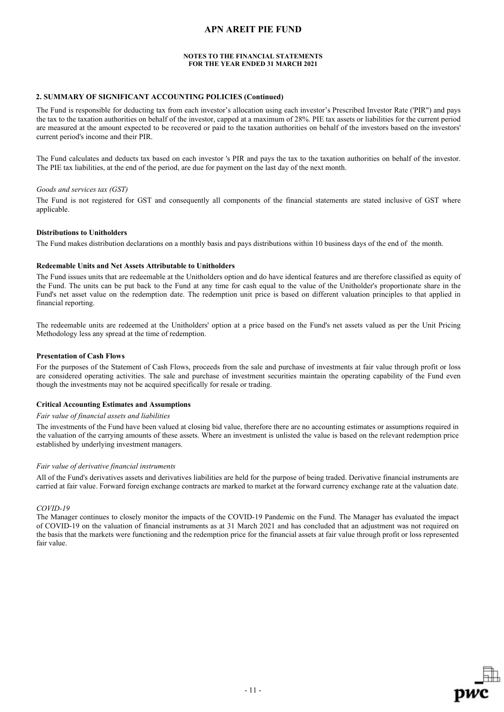#### **NOTES TO THE FINANCIAL STATEMENTS FOR THE YEAR ENDED 31 MARCH 2021**

### **2. SUMMARY OF SIGNIFICANT ACCOUNTING POLICIES (Continued)**

The Fund is responsible for deducting tax from each investor's allocation using each investor's Prescribed Investor Rate ('PIR") and pays the tax to the taxation authorities on behalf of the investor, capped at a maximum of 28%. PIE tax assets or liabilities for the current period are measured at the amount expected to be recovered or paid to the taxation authorities on behalf of the investors based on the investors' current period's income and their PIR.

The Fund calculates and deducts tax based on each investor 's PIR and pays the tax to the taxation authorities on behalf of the investor. The PIE tax liabilities, at the end of the period, are due for payment on the last day of the next month.

#### *Goods and services tax (GST)*

The Fund is not registered for GST and consequently all components of the financial statements are stated inclusive of GST where applicable.

#### **Distributions to Unitholders**

The Fund makes distribution declarations on a monthly basis and pays distributions within 10 business days of the end of the month.

#### **Redeemable Units and Net Assets Attributable to Unitholders**

The Fund issues units that are redeemable at the Unitholders option and do have identical features and are therefore classified as equity of the Fund. The units can be put back to the Fund at any time for cash equal to the value of the Unitholder's proportionate share in the Fund's net asset value on the redemption date. The redemption unit price is based on different valuation principles to that applied in financial reporting.

The redeemable units are redeemed at the Unitholders' option at a price based on the Fund's net assets valued as per the Unit Pricing Methodology less any spread at the time of redemption.

#### **Presentation of Cash Flows**

For the purposes of the Statement of Cash Flows, proceeds from the sale and purchase of investments at fair value through profit or loss are considered operating activities. The sale and purchase of investment securities maintain the operating capability of the Fund even though the investments may not be acquired specifically for resale or trading.

#### **Critical Accounting Estimates and Assumptions**

#### *Fair value of financial assets and liabilities*

The investments of the Fund have been valued at closing bid value, therefore there are no accounting estimates or assumptions required in the valuation of the carrying amounts of these assets. Where an investment is unlisted the value is based on the relevant redemption price established by underlying investment managers.

#### *Fair value of derivative financial instruments*

All of the Fund's derivatives assets and derivatives liabilities are held for the purpose of being traded. Derivative financial instruments are carried at fair value. Forward foreign exchange contracts are marked to market at the forward currency exchange rate at the valuation date.

#### *COVID-19*

The Manager continues to closely monitor the impacts of the COVID-19 Pandemic on the Fund. The Manager has evaluated the impact of COVID-19 on the valuation of financial instruments as at 31 March 2021 and has concluded that an adjustment was not required on the basis that the markets were functioning and the redemption price for the financial assets at fair value through profit or loss represented fair value.

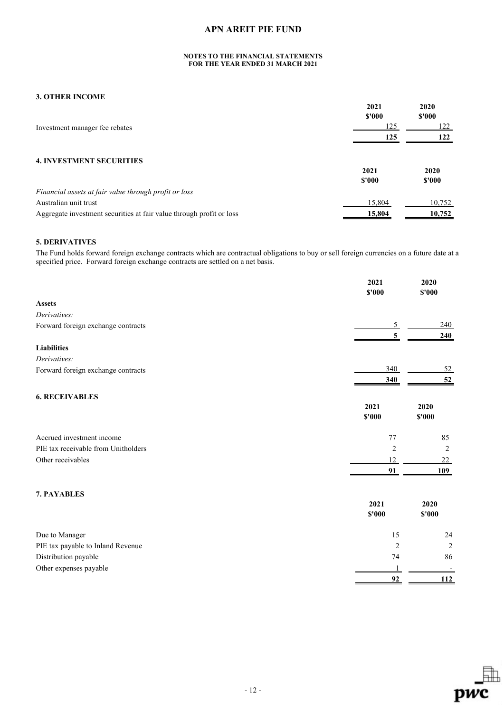### **NOTES TO THE FINANCIAL STATEMENTS FOR THE YEAR ENDED 31 MARCH 2021**

### **3. OTHER INCOME**

|                                                                      | 2021<br>$$^{\prime}000$ | 2020<br>\$'000 |
|----------------------------------------------------------------------|-------------------------|----------------|
| Investment manager fee rebates                                       | 125                     | 122            |
|                                                                      | 125                     |                |
| <b>4. INVESTMENT SECURITIES</b>                                      |                         |                |
|                                                                      | 2021                    | 2020           |
|                                                                      | \$'000                  | \$'000         |
| Financial assets at fair value through profit or loss                |                         |                |
| Australian unit trust                                                | 15,804                  | 10,752         |
| Aggregate investment securities at fair value through profit or loss | 15,804                  | 10,752         |

# **5. DERIVATIVES**

The Fund holds forward foreign exchange contracts which are contractual obligations to buy or sell foreign currencies on a future date at a specified price. Forward foreign exchange contracts are settled on a net basis.

|                                     | 2021<br>\$'000 | 2020<br>$$'000$ |
|-------------------------------------|----------------|-----------------|
| <b>Assets</b>                       |                |                 |
| Derivatives:                        |                |                 |
| Forward foreign exchange contracts  | 5              | 240             |
|                                     | 5              | 240             |
| <b>Liabilities</b>                  |                |                 |
| Derivatives:                        |                |                 |
| Forward foreign exchange contracts  | 340            | <u>52</u>       |
|                                     | 340            | 52              |
| <b>6. RECEIVABLES</b>               |                |                 |
|                                     | 2021<br>\$'000 | 2020<br>\$'000  |
| Accrued investment income           | 77             | 85              |
| PIE tax receivable from Unitholders | $\overline{2}$ | 2               |
| Other receivables                   | 12             | 22              |
|                                     | 91             | 109             |
| 7. PAYABLES                         |                |                 |
|                                     | 2021           | 2020            |
|                                     | \$'000         | $$'000$         |
| Due to Manager                      | 15             | 24              |
| PIE tax payable to Inland Revenue   | $\overline{2}$ | 2               |
| Distribution payable                | 74             | 86              |
| Other expenses payable              |                |                 |
|                                     | 92             | 112             |

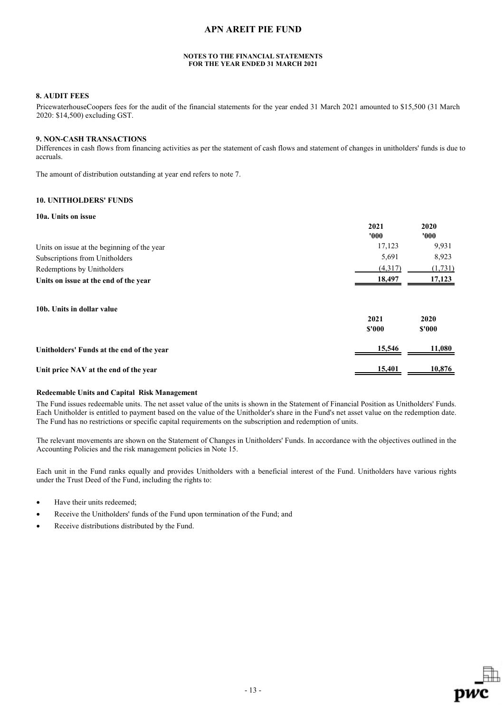#### **NOTES TO THE FINANCIAL STATEMENTS FOR THE YEAR ENDED 31 MARCH 2021**

### **8. AUDIT FEES**

PricewaterhouseCoopers fees for the audit of the financial statements for the year ended 31 March 2021 amounted to \$15,500 (31 March 2020: \$14,500) excluding GST.

#### **9. NON-CASH TRANSACTIONS**

Differences in cash flows from financing activities as per the statement of cash flows and statement of changes in unitholders' funds is due to accruals.

The amount of distribution outstanding at year end refers to note 7.

# **10. UNITHOLDERS' FUNDS**

#### **10a. Units on issue**

|                                             | 2021           | 2020           |
|---------------------------------------------|----------------|----------------|
|                                             | '000'          | 000'           |
| Units on issue at the beginning of the year | 17,123         | 9,931          |
| Subscriptions from Unitholders              | 5,691          | 8,923          |
| Redemptions by Unitholders                  | (4,317)        | (1,731)        |
| Units on issue at the end of the year       | 18,497         | 17,123         |
| 10b. Units in dollar value                  | 2021<br>\$'000 | 2020<br>\$'000 |
| Unitholders' Funds at the end of the year   | 15,546         | 11,080         |
| Unit price NAV at the end of the year       | 15,401         | 10,876         |

### **Redeemable Units and Capital Risk Management**

The Fund issues redeemable units. The net asset value of the units is shown in the Statement of Financial Position as Unitholders' Funds. Each Unitholder is entitled to payment based on the value of the Unitholder's share in the Fund's net asset value on the redemption date. The Fund has no restrictions or specific capital requirements on the subscription and redemption of units.

The relevant movements are shown on the Statement of Changes in Unitholders' Funds. In accordance with the objectives outlined in the Accounting Policies and the risk management policies in Note 15.

Each unit in the Fund ranks equally and provides Unitholders with a beneficial interest of the Fund. Unitholders have various rights under the Trust Deed of the Fund, including the rights to:

- Have their units redeemed;
- Receive the Unitholders' funds of the Fund upon termination of the Fund; and
- Receive distributions distributed by the Fund.

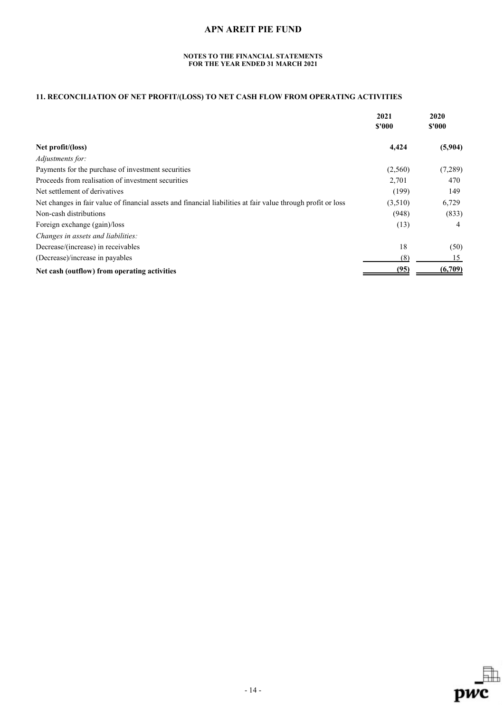### **NOTES TO THE FINANCIAL STATEMENTS FOR THE YEAR ENDED 31 MARCH 2021**

# **11. RECONCILIATION OF NET PROFIT/(LOSS) TO NET CASH FLOW FROM OPERATING ACTIVITIES**

|                                                                                                              | 2021<br>\$'000 | 2020<br>\$'000 |
|--------------------------------------------------------------------------------------------------------------|----------------|----------------|
| Net profit/(loss)                                                                                            | 4,424          | (5,904)        |
| Adjustments for:                                                                                             |                |                |
| Payments for the purchase of investment securities                                                           | (2,560)        | (7,289)        |
| Proceeds from realisation of investment securities                                                           | 2,701          | 470            |
| Net settlement of derivatives                                                                                | (199)          | 149            |
| Net changes in fair value of financial assets and financial liabilities at fair value through profit or loss | (3,510)        | 6,729          |
| Non-cash distributions                                                                                       | (948)          | (833)          |
| Foreign exchange (gain)/loss                                                                                 | (13)           | 4              |
| Changes in assets and liabilities:                                                                           |                |                |
| Decrease/(increase) in receivables                                                                           | 18             | (50)           |
| (Decrease)/increase in payables                                                                              | (8)            | 15             |
| Net cash (outflow) from operating activities                                                                 | (95)           | (6,709)        |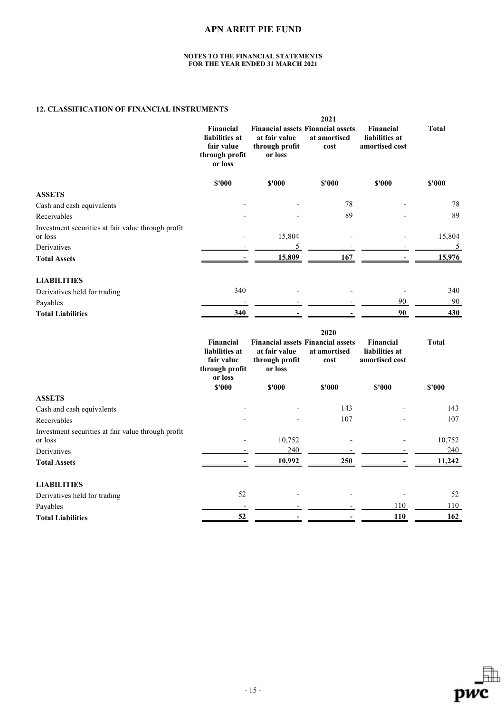#### **NOTES TO THE FINANCIAL STATEMENTS FOR THE YEAR ENDED 31 MARCH 2021**

# **12. CLASSIFICATION OF FINANCIAL INSTRUMENTS**

|                                                               | 2021                                                                          |                                            |                                                                          |                                               |                |
|---------------------------------------------------------------|-------------------------------------------------------------------------------|--------------------------------------------|--------------------------------------------------------------------------|-----------------------------------------------|----------------|
|                                                               | Financial<br>liabilities at<br>fair value<br>through profit<br>or loss        | at fair value<br>through profit<br>or loss | <b>Financial assets Financial assets</b><br>at amortised<br>cost         | Financial<br>liabilities at<br>amortised cost | <b>Total</b>   |
|                                                               | \$'000                                                                        | \$'000                                     | \$'000                                                                   | \$'000                                        | \$'000         |
| <b>ASSETS</b>                                                 |                                                                               |                                            |                                                                          |                                               |                |
| Cash and cash equivalents                                     |                                                                               |                                            | 78                                                                       |                                               | 78             |
| Receivables                                                   |                                                                               |                                            | 89                                                                       |                                               | 89             |
| Investment securities at fair value through profit<br>or loss |                                                                               | 15,804                                     |                                                                          |                                               | 15,804         |
| Derivatives                                                   |                                                                               | 5                                          |                                                                          |                                               | $\overline{5}$ |
| <b>Total Assets</b>                                           | $\blacksquare$                                                                | 15,809                                     | 167                                                                      |                                               | 15,976         |
| <b>LIABILITIES</b>                                            |                                                                               |                                            |                                                                          |                                               |                |
| Derivatives held for trading                                  | 340                                                                           |                                            |                                                                          |                                               | 340            |
| Payables                                                      |                                                                               |                                            |                                                                          | 90                                            | 90             |
| <b>Total Liabilities</b>                                      | 340                                                                           |                                            |                                                                          | 90                                            | 430            |
|                                                               | <b>Financial</b><br>liabilities at<br>fair value<br>through profit<br>or loss | at fair value<br>through profit<br>or loss | 2020<br><b>Financial assets Financial assets</b><br>at amortised<br>cost | Financial<br>liabilities at<br>amortised cost | <b>Total</b>   |
|                                                               | \$'000                                                                        | \$'000                                     | \$'000                                                                   | \$'000                                        | \$'000         |
| <b>ASSETS</b>                                                 |                                                                               |                                            |                                                                          |                                               |                |
| Cash and cash equivalents                                     |                                                                               |                                            | 143                                                                      |                                               | 143            |
| Receivables                                                   |                                                                               |                                            | 107                                                                      |                                               | 107            |
| Investment securities at fair value through profit<br>or loss |                                                                               | 10,752                                     |                                                                          |                                               | 10,752         |
| Derivatives                                                   |                                                                               | 240                                        |                                                                          |                                               | 240            |
| <b>Total Assets</b>                                           |                                                                               | 10,992                                     | 250                                                                      |                                               | 11,242         |
| <b>LIABILITIES</b>                                            |                                                                               |                                            |                                                                          |                                               |                |
| Derivatives held for trading                                  | 52                                                                            |                                            |                                                                          |                                               | 52             |
| Payables                                                      |                                                                               |                                            |                                                                          | 110                                           | 110            |
| <b>Total Liabilities</b>                                      | 52                                                                            |                                            |                                                                          | 110                                           | 162            |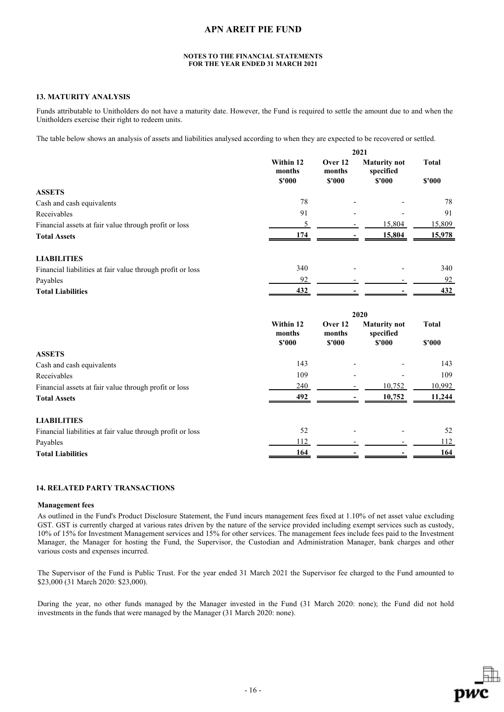#### **NOTES TO THE FINANCIAL STATEMENTS FOR THE YEAR ENDED 31 MARCH 2021**

### **13. MATURITY ANALYSIS**

Funds attributable to Unitholders do not have a maturity date. However, the Fund is required to settle the amount due to and when the Unitholders exercise their right to redeem units.

The table below shows an analysis of assets and liabilities analysed according to when they are expected to be recovered or settled.

|                                                            | 2021                          |                             |                                            |                        |
|------------------------------------------------------------|-------------------------------|-----------------------------|--------------------------------------------|------------------------|
|                                                            | Within 12<br>months<br>\$'000 | Over 12<br>months<br>\$'000 | <b>Maturity not</b><br>specified<br>\$'000 | <b>Total</b><br>\$'000 |
| <b>ASSETS</b>                                              |                               |                             |                                            |                        |
| Cash and cash equivalents                                  | 78                            |                             |                                            | 78                     |
| Receivables                                                | 91                            |                             |                                            | 91                     |
| Financial assets at fair value through profit or loss      | 5                             |                             | 15,804                                     | 15,809                 |
| <b>Total Assets</b>                                        | 174                           |                             | 15,804                                     | 15,978                 |
| <b>LIABILITIES</b>                                         |                               |                             |                                            |                        |
| Financial liabilities at fair value through profit or loss | 340                           |                             |                                            | 340                    |
| Payables                                                   | 92                            |                             |                                            | 92                     |
| <b>Total Liabilities</b>                                   | 432                           |                             |                                            | 432                    |
|                                                            |                               | 2020                        |                                            |                        |
|                                                            | Within 12<br>months<br>\$'000 | Over 12<br>months<br>\$'000 | <b>Maturity not</b><br>specified<br>\$'000 | <b>Total</b><br>\$'000 |
| <b>ASSETS</b>                                              |                               |                             |                                            |                        |
| Cash and cash equivalents                                  | 143                           |                             |                                            | 143                    |
| Receivables                                                | 109                           |                             |                                            | 109                    |
| Financial assets at fair value through profit or loss      | 240                           |                             | 10,752                                     | 10,992                 |
| <b>Total Assets</b>                                        | 492                           |                             | 10,752                                     | 11,244                 |
|                                                            |                               |                             |                                            |                        |
| <b>LIABILITIES</b>                                         |                               |                             |                                            |                        |
| Financial liabilities at fair value through profit or loss | 52                            |                             |                                            | 52                     |
| Payables                                                   | 112                           |                             |                                            | 112                    |

#### **14. RELATED PARTY TRANSACTIONS**

#### **Management fees**

As outlined in the Fund's Product Disclosure Statement, the Fund incurs management fees fixed at 1.10% of net asset value excluding GST. GST is currently charged at various rates driven by the nature of the service provided including exempt services such as custody, 10% of 15% for Investment Management services and 15% for other services. The management fees include fees paid to the Investment Manager, the Manager for hosting the Fund, the Supervisor, the Custodian and Administration Manager, bank charges and other various costs and expenses incurred.

The Supervisor of the Fund is Public Trust. For the year ended 31 March 2021 the Supervisor fee charged to the Fund amounted to \$23,000 (31 March 2020: \$23,000).

During the year, no other funds managed by the Manager invested in the Fund (31 March 2020: none); the Fund did not hold investments in the funds that were managed by the Manager (31 March 2020: none).

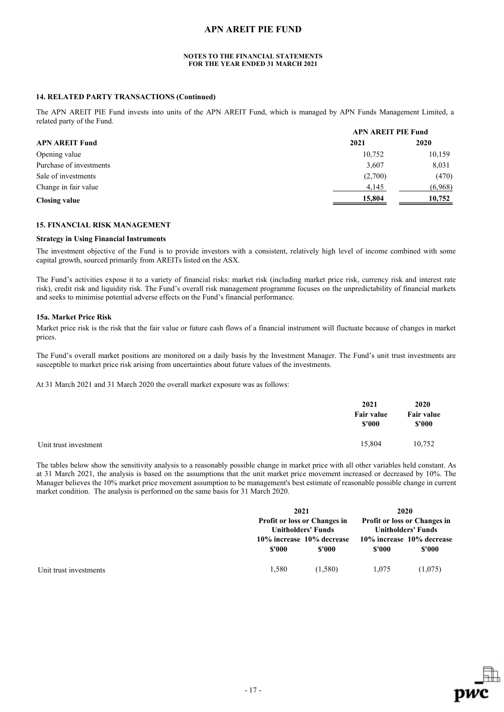#### **NOTES TO THE FINANCIAL STATEMENTS FOR THE YEAR ENDED 31 MARCH 2021**

### **14. RELATED PARTY TRANSACTIONS (Continued)**

The APN AREIT PIE Fund invests into units of the APN AREIT Fund, which is managed by APN Funds Management Limited, a related party of the Fund. **APN AREIT PIE Fund** 

|                         | APN AREIT PIE Fund |         |  |
|-------------------------|--------------------|---------|--|
| <b>APN AREIT Fund</b>   | 2021               | 2020    |  |
| Opening value           | 10.752             | 10,159  |  |
| Purchase of investments | 3,607              | 8,031   |  |
| Sale of investments     | (2,700)            | (470)   |  |
| Change in fair value    | 4,145              | (6,968) |  |
| <b>Closing value</b>    | 15,804             | 10,752  |  |

### **15. FINANCIAL RISK MANAGEMENT**

#### **Strategy in Using Financial Instruments**

The investment objective of the Fund is to provide investors with a consistent, relatively high level of income combined with some capital growth, sourced primarily from AREITs listed on the ASX.

The Fund's activities expose it to a variety of financial risks: market risk (including market price risk, currency risk and interest rate risk), credit risk and liquidity risk. The Fund's overall risk management programme focuses on the unpredictability of financial markets and seeks to minimise potential adverse effects on the Fund's financial performance.

#### **15a. Market Price Risk**

Market price risk is the risk that the fair value or future cash flows of a financial instrument will fluctuate because of changes in market prices.

The Fund's overall market positions are monitored on a daily basis by the Investment Manager. The Fund's unit trust investments are susceptible to market price risk arising from uncertainties about future values of the investments.

At 31 March 2021 and 31 March 2020 the overall market exposure was as follows:

|                       | 2021<br>Fair value<br>\$'000 | <b>2020</b><br>Fair value<br>\$'000 |
|-----------------------|------------------------------|-------------------------------------|
| Unit trust investment | 15,804                       | 10,752                              |

The tables below show the sensitivity analysis to a reasonably possible change in market price with all other variables held constant. As at 31 March 2021, the analysis is based on the assumptions that the unit market price movement increased or decreased by 10%. The Manager believes the 10% market price movement assumption to be management's best estimate of reasonable possible change in current market condition. The analysis is performed on the same basis for 31 March 2020.

|                        |        | 2021<br><b>Profit or loss or Changes in</b><br><b>Unitholders' Funds</b> |        | 2020<br><b>Profit or loss or Changes in</b><br><b>Unitholders' Funds</b> |  |
|------------------------|--------|--------------------------------------------------------------------------|--------|--------------------------------------------------------------------------|--|
|                        | \$'000 | 10% increase 10% decrease<br>\$'000                                      | \$'000 | 10% increase 10% decrease<br>\$'000                                      |  |
| Unit trust investments | 1.580  | (1,580)                                                                  | 1.075  | (1,075)                                                                  |  |

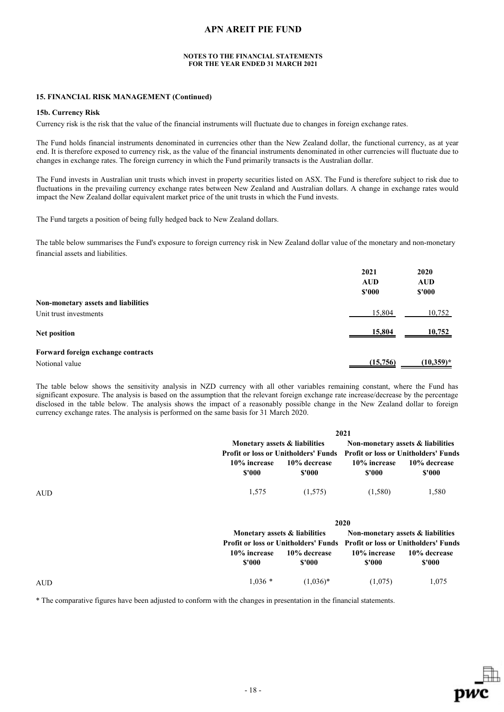#### **NOTES TO THE FINANCIAL STATEMENTS FOR THE YEAR ENDED 31 MARCH 2021**

#### **15. FINANCIAL RISK MANAGEMENT (Continued)**

#### **15b. Currency Risk**

Currency risk is the risk that the value of the financial instruments will fluctuate due to changes in foreign exchange rates.

The Fund holds financial instruments denominated in currencies other than the New Zealand dollar, the functional currency, as at year end. It is therefore exposed to currency risk, as the value of the financial instruments denominated in other currencies will fluctuate due to changes in exchange rates. The foreign currency in which the Fund primarily transacts is the Australian dollar.

The Fund invests in Australian unit trusts which invest in property securities listed on ASX. The Fund is therefore subject to risk due to fluctuations in the prevailing currency exchange rates between New Zealand and Australian dollars. A change in exchange rates would impact the New Zealand dollar equivalent market price of the unit trusts in which the Fund invests.

The Fund targets a position of being fully hedged back to New Zealand dollars.

The table below summarises the Fund's exposure to foreign currency risk in New Zealand dollar value of the monetary and non-monetary financial assets and liabilities.

|                                     | 2021<br><b>AUD</b><br>\$'000 | 2020<br><b>AUD</b><br>\$'000 |
|-------------------------------------|------------------------------|------------------------------|
| Non-monetary assets and liabilities |                              |                              |
| Unit trust investments              | 15,804                       | 10,752                       |
| Net position                        | 15,804                       | 10,752                       |
| Forward foreign exchange contracts  |                              |                              |
| Notional value                      | (15,756)                     | $(10,359)^*$                 |

The table below shows the sensitivity analysis in NZD currency with all other variables remaining constant, where the Fund has significant exposure. The analysis is based on the assumption that the relevant foreign exchange rate increase/decrease by the percentage disclosed in the table below. The analysis shows the impact of a reasonably possible change in the New Zealand dollar to foreign currency exchange rates. The analysis is performed on the same basis for 31 March 2020.

|            |                        |                                             | 2021                   |                                             |  |
|------------|------------------------|---------------------------------------------|------------------------|---------------------------------------------|--|
|            |                        | Monetary assets & liabilities               |                        | Non-monetary assets & liabilities           |  |
|            |                        | <b>Profit or loss or Unitholders' Funds</b> |                        | <b>Profit or loss or Unitholders' Funds</b> |  |
|            | 10% increase<br>\$'000 | 10% decrease<br>\$'000                      | 10% increase<br>\$'000 | 10% decrease<br>\$'000                      |  |
| <b>AUD</b> | 1,575                  | (1,575)                                     | (1,580)                | 1,580                                       |  |
|            |                        |                                             | 2020                   |                                             |  |
|            |                        | Monetary assets & liabilities               |                        | Non-monetary assets & liabilities           |  |
|            |                        | <b>Profit or loss or Unitholders' Funds</b> |                        | <b>Profit or loss or Unitholders' Funds</b> |  |
|            | 10% increase           | 10% decrease                                | 10% increase           | 10% decrease                                |  |
|            | \$'000                 | \$'000                                      | \$'000                 | \$'000                                      |  |

AUD  $1,036$  \*  $(1,036)$  \*  $(1,075)$   $1,075$ 

\* The comparative figures have been adjusted to conform with the changes in presentation in the financial statements.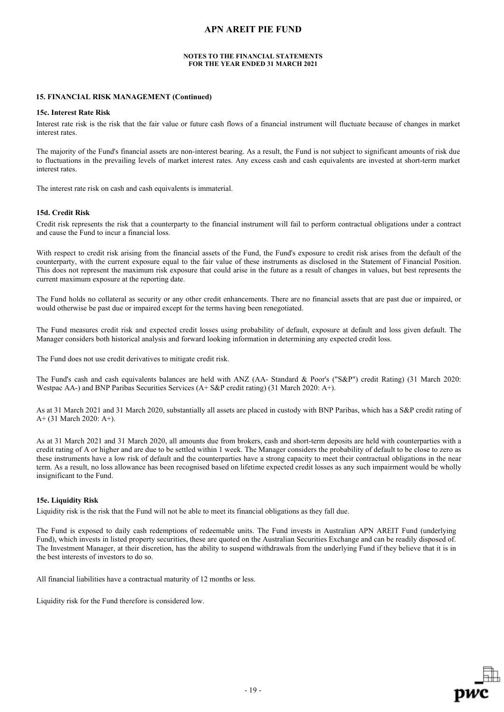#### **NOTES TO THE FINANCIAL STATEMENTS FOR THE YEAR ENDED 31 MARCH 2021**

#### **15. FINANCIAL RISK MANAGEMENT (Continued)**

#### **15c. Interest Rate Risk**

Interest rate risk is the risk that the fair value or future cash flows of a financial instrument will fluctuate because of changes in market interest rates.

The majority of the Fund's financial assets are non-interest bearing. As a result, the Fund is not subject to significant amounts of risk due to fluctuations in the prevailing levels of market interest rates. Any excess cash and cash equivalents are invested at short-term market interest rates.

The interest rate risk on cash and cash equivalents is immaterial.

#### **15d. Credit Risk**

Credit risk represents the risk that a counterparty to the financial instrument will fail to perform contractual obligations under a contract and cause the Fund to incur a financial loss.

With respect to credit risk arising from the financial assets of the Fund, the Fund's exposure to credit risk arises from the default of the counterparty, with the current exposure equal to the fair value of these instruments as disclosed in the Statement of Financial Position. This does not represent the maximum risk exposure that could arise in the future as a result of changes in values, but best represents the current maximum exposure at the reporting date.

The Fund holds no collateral as security or any other credit enhancements. There are no financial assets that are past due or impaired, or would otherwise be past due or impaired except for the terms having been renegotiated.

The Fund measures credit risk and expected credit losses using probability of default, exposure at default and loss given default. The Manager considers both historical analysis and forward looking information in determining any expected credit loss.

The Fund does not use credit derivatives to mitigate credit risk.

The Fund's cash and cash equivalents balances are held with ANZ (AA- Standard & Poor's ("S&P") credit Rating) (31 March 2020: Westpac AA-) and BNP Paribas Securities Services (A+ S&P credit rating) (31 March 2020: A+).

As at 31 March 2021 and 31 March 2020, substantially all assets are placed in custody with BNP Paribas, which has a S&P credit rating of A+ (31 March 2020: A+).

As at 31 March 2021 and 31 March 2020, all amounts due from brokers, cash and short-term deposits are held with counterparties with a credit rating of A or higher and are due to be settled within 1 week. The Manager considers the probability of default to be close to zero as these instruments have a low risk of default and the counterparties have a strong capacity to meet their contractual obligations in the near term. As a result, no loss allowance has been recognised based on lifetime expected credit losses as any such impairment would be wholly insignificant to the Fund.

#### **15e. Liquidity Risk**

Liquidity risk is the risk that the Fund will not be able to meet its financial obligations as they fall due.

The Fund is exposed to daily cash redemptions of redeemable units. The Fund invests in Australian APN AREIT Fund (underlying Fund), which invests in listed property securities, these are quoted on the Australian Securities Exchange and can be readily disposed of. The Investment Manager, at their discretion, has the ability to suspend withdrawals from the underlying Fund if they believe that it is in the best interests of investors to do so.

All financial liabilities have a contractual maturity of 12 months or less.

Liquidity risk for the Fund therefore is considered low.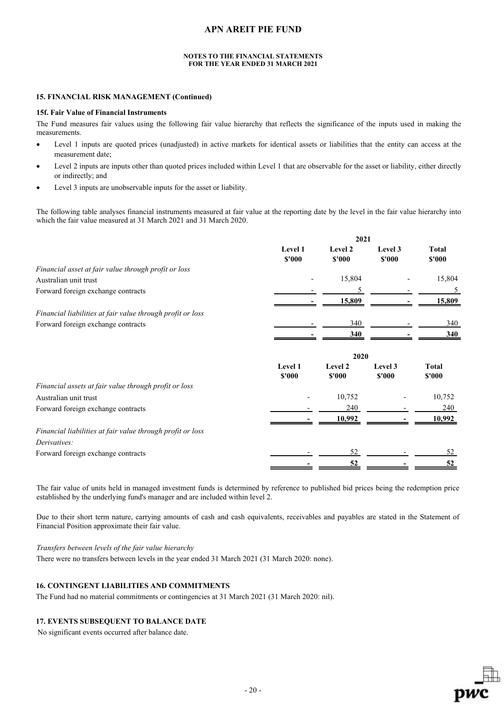#### **NOTES TO THE FINANCIAL STATEMENTS FOR THE YEAR ENDED 31 MARCH 2021**

### **15. FINANCIAL RISK MANAGEMENT (Continued)**

#### **15f. Fair Value of Financial Instruments**

The Fund measures fair values using the following fair value hierarchy that reflects the significance of the inputs used in making the measurements.

- Level 1 inputs are quoted prices (unadjusted) in active markets for identical assets or liabilities that the entity can access at the measurement date;
- Level 2 inputs are inputs other than quoted prices included within Level 1 that are observable for the asset or liability, either directly or indirectly; and
- Level 3 inputs are unobservable inputs for the asset or liability.

The following table analyses financial instruments measured at fair value at the reporting date by the level in the fair value hierarchy into which the fair value measured at 31 March 2021 and 31 March 2020.

|                                                            | 2021                     |                   |                   |                        |
|------------------------------------------------------------|--------------------------|-------------------|-------------------|------------------------|
|                                                            | Level 1<br>\$'000        | Level 2<br>\$'000 | Level 3<br>\$'000 | <b>Total</b><br>\$'000 |
| Financial asset at fair value through profit or loss       |                          |                   |                   |                        |
| Australian unit trust                                      |                          | 15,804            |                   | 15,804                 |
| Forward foreign exchange contracts                         |                          | 5                 |                   | 5                      |
|                                                            |                          | 15,809            |                   | 15,809                 |
| Financial liabilities at fair value through profit or loss |                          |                   |                   |                        |
| Forward foreign exchange contracts                         |                          | 340               |                   | 340                    |
|                                                            |                          | 340               |                   | 340                    |
|                                                            |                          | 2020              |                   |                        |
|                                                            | <b>Level 1</b><br>\$'000 | Level 2<br>\$'000 | Level 3<br>\$'000 | <b>Total</b><br>\$'000 |
| Financial assets at fair value through profit or loss      |                          |                   |                   |                        |
| Australian unit trust                                      |                          | 10,752            |                   | 10,752                 |
| Forward foreign exchange contracts                         |                          | 240               |                   | 240                    |
|                                                            |                          | 10,992            |                   | 10,992                 |
| Financial liabilities at fair value through profit or loss |                          |                   |                   |                        |
| Derivatives:                                               |                          |                   |                   |                        |
| Forward foreign exchange contracts                         |                          | 52                |                   | 52                     |
|                                                            |                          | 52                |                   | 52                     |

The fair value of units held in managed investment funds is determined by reference to published bid prices being the redemption price established by the underlying fund's manager and are included within level 2.

Due to their short term nature, carrying amounts of cash and cash equivalents, receivables and payables are stated in the Statement of Financial Position approximate their fair value.

*Transfers between levels of the fair value hierarchy*

There were no transfers between levels in the year ended 31 March 2021 (31 March 2020: none).

### **16. CONTINGENT LIABILITIES AND COMMITMENTS**

The Fund had no material commitments or contingencies at 31 March 2021 (31 March 2020: nil).

### **17. EVENTS SUBSEQUENT TO BALANCE DATE**

No significant events occurred after balance date.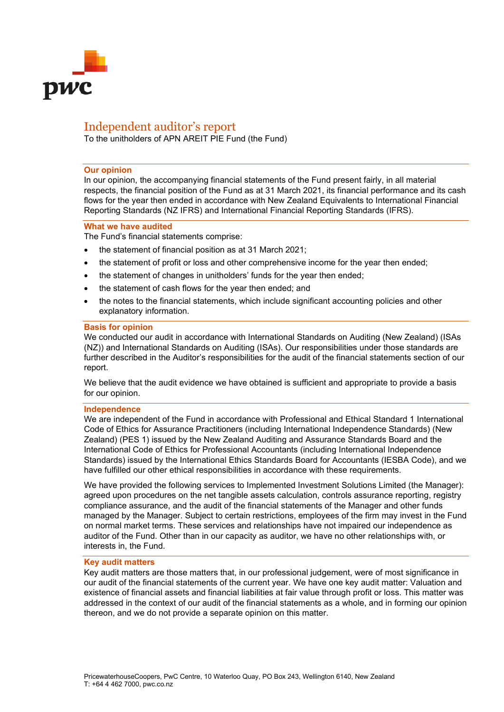

# Independent auditor's report

To the unitholders of APN AREIT PIE Fund (the Fund)

### **Our opinion**

In our opinion, the accompanying financial statements of the Fund present fairly, in all material respects, the financial position of the Fund as at 31 March 2021, its financial performance and its cash flows for the year then ended in accordance with New Zealand Equivalents to International Financial Reporting Standards (NZ IFRS) and International Financial Reporting Standards (IFRS).

### **What we have audited**

The Fund's financial statements comprise:

- the statement of financial position as at 31 March 2021;
- the statement of profit or loss and other comprehensive income for the year then ended;
- the statement of changes in unitholders' funds for the year then ended;
- the statement of cash flows for the year then ended; and
- the notes to the financial statements, which include significant accounting policies and other explanatory information.

### **Basis for opinion**

We conducted our audit in accordance with International Standards on Auditing (New Zealand) (ISAs (NZ)) and International Standards on Auditing (ISAs). Our responsibilities under those standards are further described in the Auditor's responsibilities for the audit of the financial statements section of our report.

We believe that the audit evidence we have obtained is sufficient and appropriate to provide a basis for our opinion.

#### **Independence**

We are independent of the Fund in accordance with Professional and Ethical Standard 1 International Code of Ethics for Assurance Practitioners (including International Independence Standards) (New Zealand) (PES 1) issued by the New Zealand Auditing and Assurance Standards Board and the International Code of Ethics for Professional Accountants (including International Independence Standards) issued by the International Ethics Standards Board for Accountants (IESBA Code), and we have fulfilled our other ethical responsibilities in accordance with these requirements.

We have provided the following services to Implemented Investment Solutions Limited (the Manager): agreed upon procedures on the net tangible assets calculation, controls assurance reporting, registry compliance assurance, and the audit of the financial statements of the Manager and other funds managed by the Manager. Subject to certain restrictions, employees of the firm may invest in the Fund on normal market terms. These services and relationships have not impaired our independence as auditor of the Fund. Other than in our capacity as auditor, we have no other relationships with, or interests in, the Fund.

### **Key audit matters**

Key audit matters are those matters that, in our professional judgement, were of most significance in our audit of the financial statements of the current year. We have one key audit matter: Valuation and existence of financial assets and financial liabilities at fair value through profit or loss. This matter was addressed in the context of our audit of the financial statements as a whole, and in forming our opinion thereon, and we do not provide a separate opinion on this matter.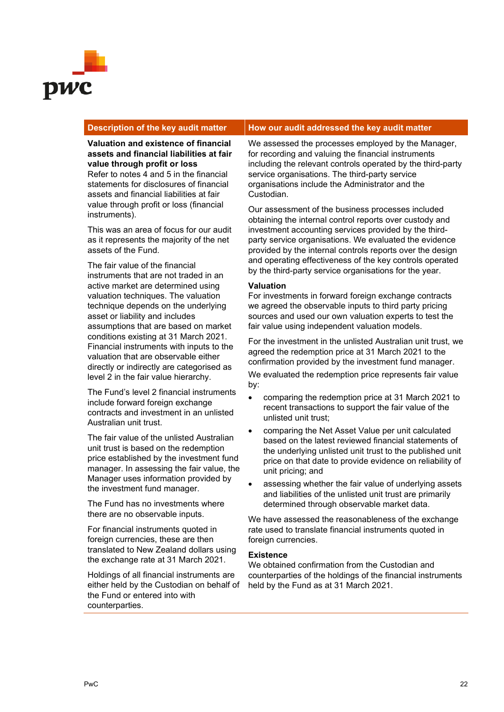

# **Description of the key audit matter How our audit addressed the key audit matter**

**Valuation and existence of financial assets and financial liabilities at fair value through profit or loss** Refer to notes 4 and 5 in the financial statements for disclosures of financial

assets and financial liabilities at fair value through profit or loss (financial instruments).

This was an area of focus for our audit as it represents the majority of the net assets of the Fund.

The fair value of the financial instruments that are not traded in an active market are determined using valuation techniques. The valuation technique depends on the underlying asset or liability and includes assumptions that are based on market conditions existing at 31 March 2021. Financial instruments with inputs to the valuation that are observable either directly or indirectly are categorised as level 2 in the fair value hierarchy.

The Fund's level 2 financial instruments include forward foreign exchange contracts and investment in an unlisted Australian unit trust.

The fair value of the unlisted Australian unit trust is based on the redemption price established by the investment fund manager. In assessing the fair value, the Manager uses information provided by the investment fund manager.

The Fund has no investments where there are no observable inputs.

For financial instruments quoted in foreign currencies, these are then translated to New Zealand dollars using the exchange rate at 31 March 2021.

Holdings of all financial instruments are either held by the Custodian on behalf of the Fund or entered into with counterparties.

We assessed the processes employed by the Manager, for recording and valuing the financial instruments including the relevant controls operated by the third-party service organisations. The third-party service organisations include the Administrator and the Custodian.

Our assessment of the business processes included obtaining the internal control reports over custody and investment accounting services provided by the thirdparty service organisations. We evaluated the evidence provided by the internal controls reports over the design and operating effectiveness of the key controls operated by the third-party service organisations for the year.

# **Valuation**

For investments in forward foreign exchange contracts we agreed the observable inputs to third party pricing sources and used our own valuation experts to test the fair value using independent valuation models.

For the investment in the unlisted Australian unit trust, we agreed the redemption price at 31 March 2021 to the confirmation provided by the investment fund manager.

We evaluated the redemption price represents fair value by:

- comparing the redemption price at 31 March 2021 to recent transactions to support the fair value of the unlisted unit trust;
- comparing the Net Asset Value per unit calculated based on the latest reviewed financial statements of the underlying unlisted unit trust to the published unit price on that date to provide evidence on reliability of unit pricing; and
- assessing whether the fair value of underlying assets and liabilities of the unlisted unit trust are primarily determined through observable market data.

We have assessed the reasonableness of the exchange rate used to translate financial instruments quoted in foreign currencies.

# **Existence**

We obtained confirmation from the Custodian and counterparties of the holdings of the financial instruments held by the Fund as at 31 March 2021.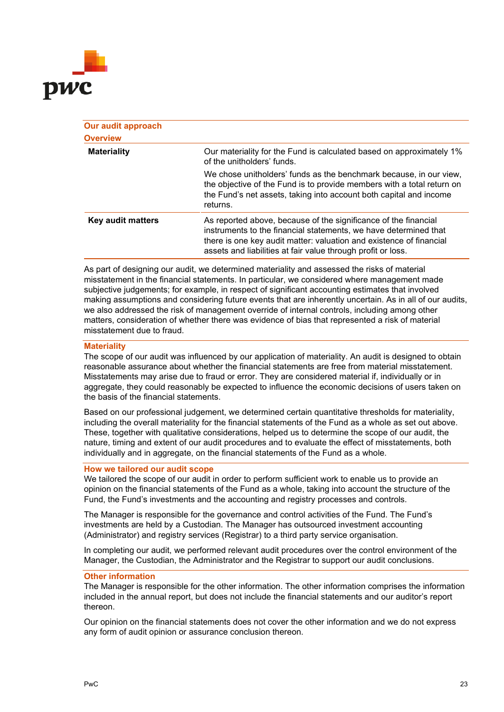

| Our audit approach<br><b>Overview</b> |                                                                                                                                                                                                                                                                            |
|---------------------------------------|----------------------------------------------------------------------------------------------------------------------------------------------------------------------------------------------------------------------------------------------------------------------------|
| <b>Materiality</b>                    | Our materiality for the Fund is calculated based on approximately 1%<br>of the unitholders' funds.                                                                                                                                                                         |
|                                       | We chose unitholders' funds as the benchmark because, in our view,<br>the objective of the Fund is to provide members with a total return on<br>the Fund's net assets, taking into account both capital and income<br>returns.                                             |
| Key audit matters                     | As reported above, because of the significance of the financial<br>instruments to the financial statements, we have determined that<br>there is one key audit matter: valuation and existence of financial<br>assets and liabilities at fair value through profit or loss. |

As part of designing our audit, we determined materiality and assessed the risks of material misstatement in the financial statements. In particular, we considered where management made subjective judgements; for example, in respect of significant accounting estimates that involved making assumptions and considering future events that are inherently uncertain. As in all of our audits, we also addressed the risk of management override of internal controls, including among other matters, consideration of whether there was evidence of bias that represented a risk of material misstatement due to fraud.

# **Materiality**

The scope of our audit was influenced by our application of materiality. An audit is designed to obtain reasonable assurance about whether the financial statements are free from material misstatement. Misstatements may arise due to fraud or error. They are considered material if, individually or in aggregate, they could reasonably be expected to influence the economic decisions of users taken on the basis of the financial statements.

Based on our professional judgement, we determined certain quantitative thresholds for materiality, including the overall materiality for the financial statements of the Fund as a whole as set out above. These, together with qualitative considerations, helped us to determine the scope of our audit, the nature, timing and extent of our audit procedures and to evaluate the effect of misstatements, both individually and in aggregate, on the financial statements of the Fund as a whole.

# **How we tailored our audit scope**

We tailored the scope of our audit in order to perform sufficient work to enable us to provide an opinion on the financial statements of the Fund as a whole, taking into account the structure of the Fund, the Fund's investments and the accounting and registry processes and controls.

The Manager is responsible for the governance and control activities of the Fund. The Fund's investments are held by a Custodian. The Manager has outsourced investment accounting (Administrator) and registry services (Registrar) to a third party service organisation.

In completing our audit, we performed relevant audit procedures over the control environment of the Manager, the Custodian, the Administrator and the Registrar to support our audit conclusions.

#### **Other information**

The Manager is responsible for the other information. The other information comprises the information included in the annual report, but does not include the financial statements and our auditor's report thereon.

Our opinion on the financial statements does not cover the other information and we do not express any form of audit opinion or assurance conclusion thereon.